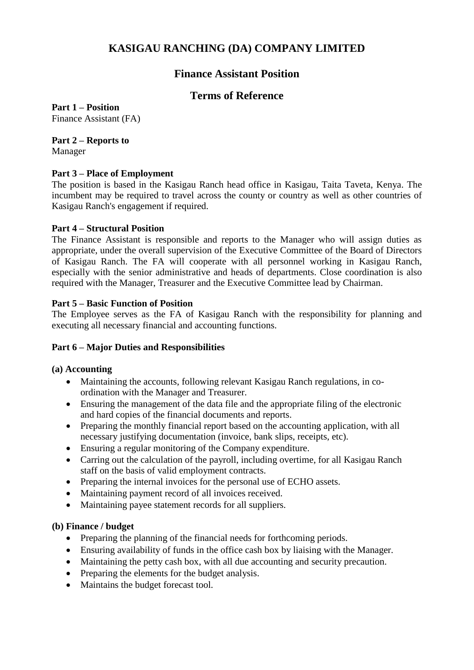# **KASIGAU RANCHING (DA) COMPANY LIMITED**

# **Finance Assistant Position**

# **Terms of Reference**

**Part 1 – Position** Finance Assistant (FA)

# **Part 2 – Reports to**

Manager

#### **Part 3 – Place of Employment**

The position is based in the Kasigau Ranch head office in Kasigau, Taita Taveta, Kenya. The incumbent may be required to travel across the county or country as well as other countries of Kasigau Ranch's engagement if required.

#### **Part 4 – Structural Position**

The Finance Assistant is responsible and reports to the Manager who will assign duties as appropriate, under the overall supervision of the Executive Committee of the Board of Directors of Kasigau Ranch. The FA will cooperate with all personnel working in Kasigau Ranch, especially with the senior administrative and heads of departments. Close coordination is also required with the Manager, Treasurer and the Executive Committee lead by Chairman.

#### **Part 5 – Basic Function of Position**

The Employee serves as the FA of Kasigau Ranch with the responsibility for planning and executing all necessary financial and accounting functions.

## **Part 6 – Major Duties and Responsibilities**

## **(a) Accounting**

- Maintaining the accounts, following relevant Kasigau Ranch regulations, in coordination with the Manager and Treasurer.
- Ensuring the management of the data file and the appropriate filing of the electronic and hard copies of the financial documents and reports.
- Preparing the monthly financial report based on the accounting application, with all necessary justifying documentation (invoice, bank slips, receipts, etc).
- Ensuring a regular monitoring of the Company expenditure.
- Carring out the calculation of the payroll, including overtime, for all Kasigau Ranch staff on the basis of valid employment contracts.
- Preparing the internal invoices for the personal use of ECHO assets.
- Maintaining payment record of all invoices received.
- Maintaining payee statement records for all suppliers.

## **(b) Finance / budget**

- Preparing the planning of the financial needs for forthcoming periods.
- Ensuring availability of funds in the office cash box by liaising with the Manager.
- Maintaining the petty cash box, with all due accounting and security precaution.
- Preparing the elements for the budget analysis.
- Maintains the budget forecast tool.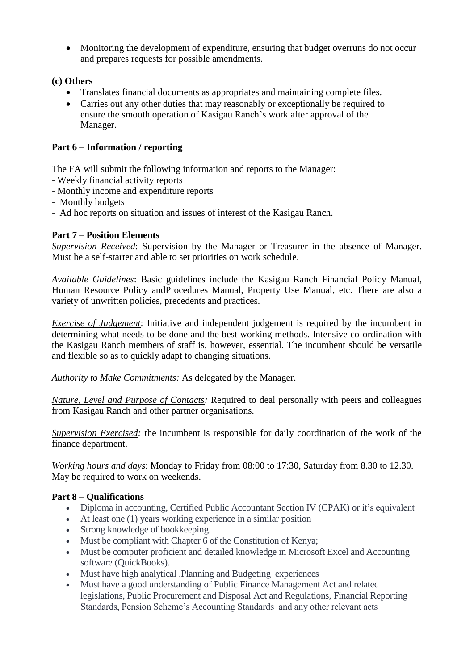• Monitoring the development of expenditure, ensuring that budget overruns do not occur and prepares requests for possible amendments.

# **(c) Others**

- Translates financial documents as appropriates and maintaining complete files.
- Carries out any other duties that may reasonably or exceptionally be required to ensure the smooth operation of Kasigau Ranch's work after approval of the Manager.

# **Part 6 – Information / reporting**

The FA will submit the following information and reports to the Manager:

- Weekly financial activity reports
- Monthly income and expenditure reports
- Monthly budgets
- Ad hoc reports on situation and issues of interest of the Kasigau Ranch.

# **Part 7 – Position Elements**

*Supervision Received*: Supervision by the Manager or Treasurer in the absence of Manager. Must be a self-starter and able to set priorities on work schedule.

*Available Guidelines*: Basic guidelines include the Kasigau Ranch Financial Policy Manual, Human Resource Policy andProcedures Manual, Property Use Manual, etc. There are also a variety of unwritten policies, precedents and practices.

*Exercise of Judgement*: Initiative and independent judgement is required by the incumbent in determining what needs to be done and the best working methods. Intensive co-ordination with the Kasigau Ranch members of staff is, however, essential. The incumbent should be versatile and flexible so as to quickly adapt to changing situations.

*Authority to Make Commitments:* As delegated by the Manager.

*Nature, Level and Purpose of Contacts:* Required to deal personally with peers and colleagues from Kasigau Ranch and other partner organisations.

*Supervision Exercised:* the incumbent is responsible for daily coordination of the work of the finance department.

*Working hours and days*: Monday to Friday from 08:00 to 17:30, Saturday from 8.30 to 12.30. May be required to work on weekends.

## **Part 8 – Qualifications**

- Diploma in accounting, Certified Public Accountant Section IV (CPAK) or it's equivalent
- At least one (1) years working experience in a similar position
- Strong knowledge of bookkeeping.
- Must be compliant with Chapter 6 of the Constitution of Kenya;
- Must be computer proficient and detailed knowledge in Microsoft Excel and Accounting software (QuickBooks).
- Must have high analytical ,Planning and Budgeting experiences
- Must have a good understanding of Public Finance Management Act and related legislations, Public Procurement and Disposal Act and Regulations, Financial Reporting Standards, Pension Scheme's Accounting Standards and any other relevant acts